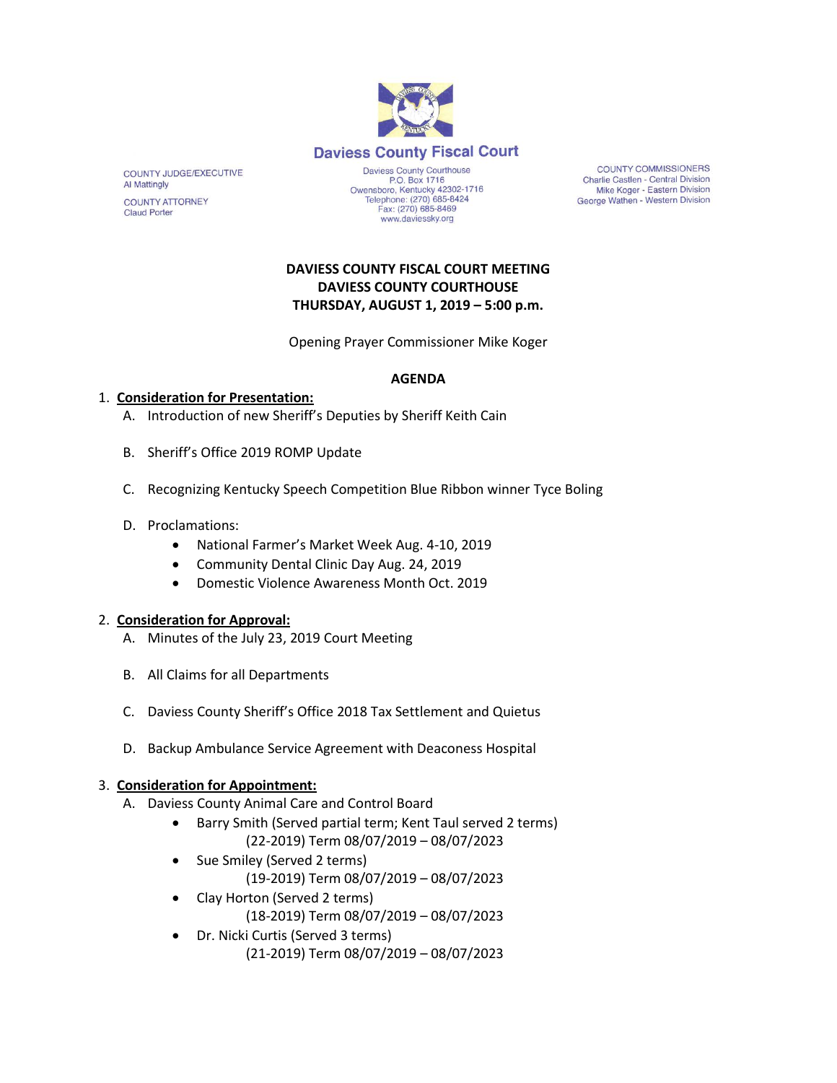

COUNTY JUDGE/EXECUTIVE **Al Mattingly COUNTY ATTORNEY** 

**Claud Porter** 

P.O. Box 1716 Owensboro, Kentucky 42302-1716<br>Telephone: (270) 685-8424 Fax: (270) 685-8469 www.daviessky.org

**COUNTY COMMISSIONERS** Charlie Castlen - Central Division Mike Koger - Eastern Division George Wathen - Western Division

## **DAVIESS COUNTY FISCAL COURT MEETING DAVIESS COUNTY COURTHOUSE THURSDAY, AUGUST 1, 2019 – 5:00 p.m.**

Opening Prayer Commissioner Mike Koger

### **AGENDA**

# 1. **Consideration for Presentation:**

- A. Introduction of new Sheriff's Deputies by Sheriff Keith Cain
- B. Sheriff's Office 2019 ROMP Update
- C. Recognizing Kentucky Speech Competition Blue Ribbon winner Tyce Boling
- D. Proclamations:
	- National Farmer's Market Week Aug. 4-10, 2019
	- Community Dental Clinic Day Aug. 24, 2019
	- Domestic Violence Awareness Month Oct. 2019

#### 2. **Consideration for Approval:**

- A. Minutes of the July 23, 2019 Court Meeting
- B. All Claims for all Departments
- C. Daviess County Sheriff's Office 2018 Tax Settlement and Quietus
- D. Backup Ambulance Service Agreement with Deaconess Hospital

#### 3. **Consideration for Appointment:**

- A. Daviess County Animal Care and Control Board
	- Barry Smith (Served partial term; Kent Taul served 2 terms) (22-2019) Term 08/07/2019 – 08/07/2023
	- Sue Smiley (Served 2 terms)
		- (19-2019) Term 08/07/2019 08/07/2023
	- Clay Horton (Served 2 terms) (18-2019) Term 08/07/2019 – 08/07/2023
	- Dr. Nicki Curtis (Served 3 terms) (21-2019) Term 08/07/2019 – 08/07/2023